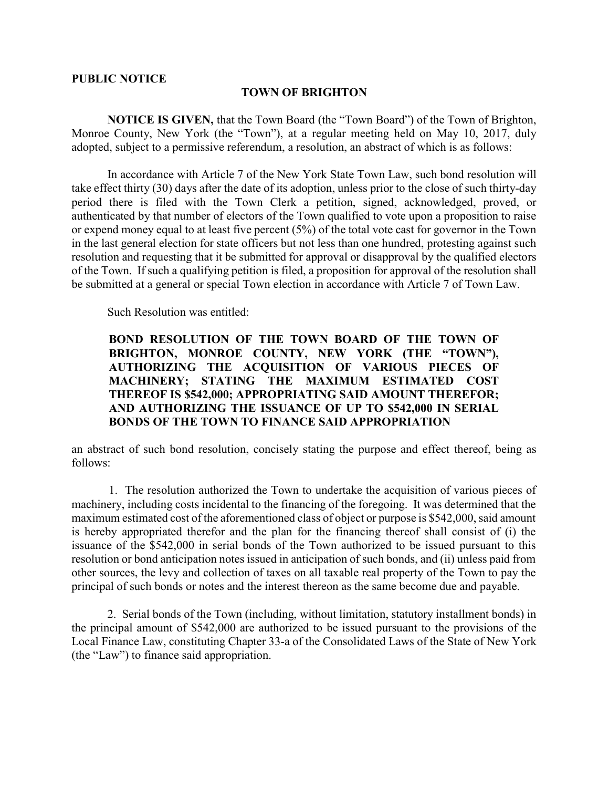## PUBLIC NOTICE

## TOWN OF BRIGHTON

NOTICE IS GIVEN, that the Town Board (the "Town Board") of the Town of Brighton, Monroe County, New York (the "Town"), at a regular meeting held on May 10, 2017, duly adopted, subject to a permissive referendum, a resolution, an abstract of which is as follows:

In accordance with Article 7 of the New York State Town Law, such bond resolution will take effect thirty (30) days after the date of its adoption, unless prior to the close of such thirty-day period there is filed with the Town Clerk a petition, signed, acknowledged, proved, or authenticated by that number of electors of the Town qualified to vote upon a proposition to raise or expend money equal to at least five percent (5%) of the total vote cast for governor in the Town in the last general election for state officers but not less than one hundred, protesting against such resolution and requesting that it be submitted for approval or disapproval by the qualified electors of the Town. If such a qualifying petition is filed, a proposition for approval of the resolution shall be submitted at a general or special Town election in accordance with Article 7 of Town Law.

Such Resolution was entitled:

## BOND RESOLUTION OF THE TOWN BOARD OF THE TOWN OF BRIGHTON, MONROE COUNTY, NEW YORK (THE "TOWN"), AUTHORIZING THE ACQUISITION OF VARIOUS PIECES OF MACHINERY; STATING THE MAXIMUM ESTIMATED COST THEREOF IS \$542,000; APPROPRIATING SAID AMOUNT THEREFOR; AND AUTHORIZING THE ISSUANCE OF UP TO \$542,000 IN SERIAL BONDS OF THE TOWN TO FINANCE SAID APPROPRIATION

an abstract of such bond resolution, concisely stating the purpose and effect thereof, being as follows:

1. The resolution authorized the Town to undertake the acquisition of various pieces of machinery, including costs incidental to the financing of the foregoing. It was determined that the maximum estimated cost of the aforementioned class of object or purpose is \$542,000, said amount is hereby appropriated therefor and the plan for the financing thereof shall consist of (i) the issuance of the \$542,000 in serial bonds of the Town authorized to be issued pursuant to this resolution or bond anticipation notes issued in anticipation of such bonds, and (ii) unless paid from other sources, the levy and collection of taxes on all taxable real property of the Town to pay the principal of such bonds or notes and the interest thereon as the same become due and payable.

 2. Serial bonds of the Town (including, without limitation, statutory installment bonds) in the principal amount of \$542,000 are authorized to be issued pursuant to the provisions of the Local Finance Law, constituting Chapter 33-a of the Consolidated Laws of the State of New York (the "Law") to finance said appropriation.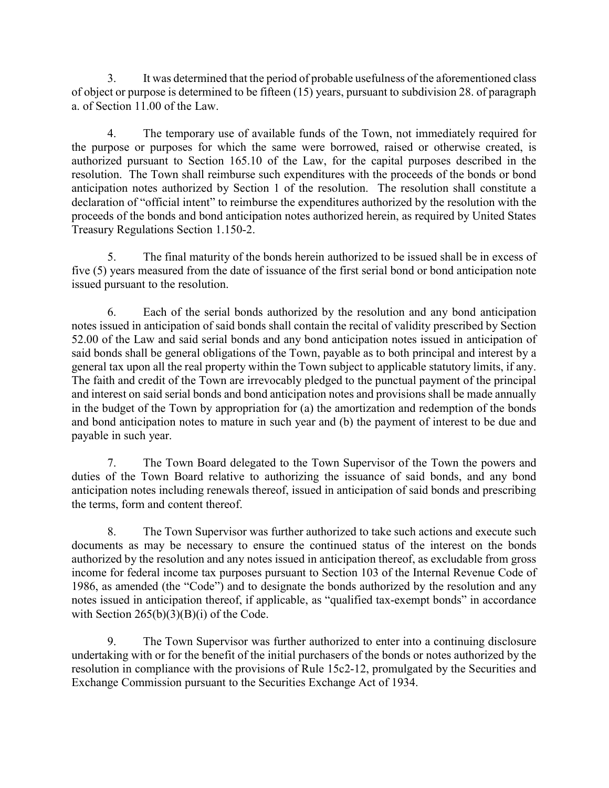3. It was determined that the period of probable usefulness of the aforementioned class of object or purpose is determined to be fifteen (15) years, pursuant to subdivision 28. of paragraph a. of Section 11.00 of the Law.

4. The temporary use of available funds of the Town, not immediately required for the purpose or purposes for which the same were borrowed, raised or otherwise created, is authorized pursuant to Section 165.10 of the Law, for the capital purposes described in the resolution. The Town shall reimburse such expenditures with the proceeds of the bonds or bond anticipation notes authorized by Section 1 of the resolution. The resolution shall constitute a declaration of "official intent" to reimburse the expenditures authorized by the resolution with the proceeds of the bonds and bond anticipation notes authorized herein, as required by United States Treasury Regulations Section 1.150-2.

5. The final maturity of the bonds herein authorized to be issued shall be in excess of five (5) years measured from the date of issuance of the first serial bond or bond anticipation note issued pursuant to the resolution.

6. Each of the serial bonds authorized by the resolution and any bond anticipation notes issued in anticipation of said bonds shall contain the recital of validity prescribed by Section 52.00 of the Law and said serial bonds and any bond anticipation notes issued in anticipation of said bonds shall be general obligations of the Town, payable as to both principal and interest by a general tax upon all the real property within the Town subject to applicable statutory limits, if any. The faith and credit of the Town are irrevocably pledged to the punctual payment of the principal and interest on said serial bonds and bond anticipation notes and provisions shall be made annually in the budget of the Town by appropriation for (a) the amortization and redemption of the bonds and bond anticipation notes to mature in such year and (b) the payment of interest to be due and payable in such year.

7. The Town Board delegated to the Town Supervisor of the Town the powers and duties of the Town Board relative to authorizing the issuance of said bonds, and any bond anticipation notes including renewals thereof, issued in anticipation of said bonds and prescribing the terms, form and content thereof.

8. The Town Supervisor was further authorized to take such actions and execute such documents as may be necessary to ensure the continued status of the interest on the bonds authorized by the resolution and any notes issued in anticipation thereof, as excludable from gross income for federal income tax purposes pursuant to Section 103 of the Internal Revenue Code of 1986, as amended (the "Code") and to designate the bonds authorized by the resolution and any notes issued in anticipation thereof, if applicable, as "qualified tax-exempt bonds" in accordance with Section  $265(b)(3)(B)(i)$  of the Code.

9. The Town Supervisor was further authorized to enter into a continuing disclosure undertaking with or for the benefit of the initial purchasers of the bonds or notes authorized by the resolution in compliance with the provisions of Rule 15c2-12, promulgated by the Securities and Exchange Commission pursuant to the Securities Exchange Act of 1934.